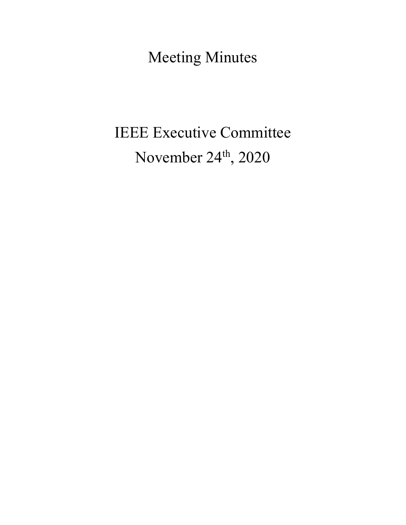Meeting Minutes

# IEEE Executive Committee November 24<sup>th</sup>, 2020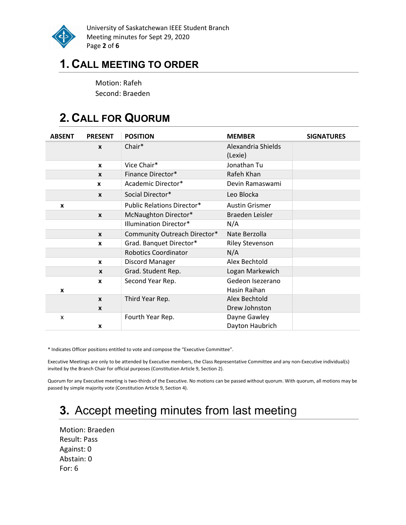

University of Saskatchewan IEEE Student Branch Meeting minutes for Sept 29, 2020 Page 2 of 6

### 1. CALL MEETING TO ORDER

Motion: Rafeh Second: Braeden

### 2. CALL FOR QUORUM

| <b>ABSENT</b> | <b>PRESENT</b>   | <b>POSITION</b>                   | <b>MEMBER</b>          | <b>SIGNATURES</b> |
|---------------|------------------|-----------------------------------|------------------------|-------------------|
|               | $\boldsymbol{x}$ | Chair*                            | Alexandria Shields     |                   |
|               |                  |                                   | (Lexie)                |                   |
|               | $\mathbf{x}$     | Vice Chair*                       | Jonathan Tu            |                   |
|               | $\mathbf{x}$     | Finance Director*                 | Rafeh Khan             |                   |
|               | X                | Academic Director*                | Devin Ramaswami        |                   |
|               | $\mathbf{x}$     | Social Director*                  | Leo Blocka             |                   |
| X             |                  | <b>Public Relations Director*</b> | <b>Austin Grismer</b>  |                   |
|               | $\mathbf{x}$     | McNaughton Director*              | Braeden Leisler        |                   |
|               |                  | <b>Illumination Director*</b>     | N/A                    |                   |
|               | $\mathbf{x}$     | Community Outreach Director*      | Nate Berzolla          |                   |
|               | X                | Grad. Banquet Director*           | <b>Riley Stevenson</b> |                   |
|               |                  | <b>Robotics Coordinator</b>       | N/A                    |                   |
|               | $\mathbf{x}$     | Discord Manager                   | Alex Bechtold          |                   |
|               | $\mathbf{x}$     | Grad. Student Rep.                | Logan Markewich        |                   |
|               | X                | Second Year Rep.                  | Gedeon Isezerano       |                   |
| X             |                  |                                   | Hasin Raihan           |                   |
|               | $\mathbf{x}$     | Third Year Rep.                   | Alex Bechtold          |                   |
|               | X                |                                   | Drew Johnston          |                   |
| x             |                  | Fourth Year Rep.                  | Dayne Gawley           |                   |
|               | X                |                                   | Dayton Haubrich        |                   |

\* Indicates Officer positions entitled to vote and compose the "Executive Committee".

Executive Meetings are only to be attended by Executive members, the Class Representative Committee and any non-Executive individual(s) invited by the Branch Chair for official purposes (Constitution Article 9, Section 2).

Quorum for any Executive meeting is two-thirds of the Executive. No motions can be passed without quorum. With quorum, all motions may be passed by simple majority vote (Constitution Article 9, Section 4).

### 3. Accept meeting minutes from last meeting

Motion: Braeden Result: Pass Against: 0 Abstain: 0 For: 6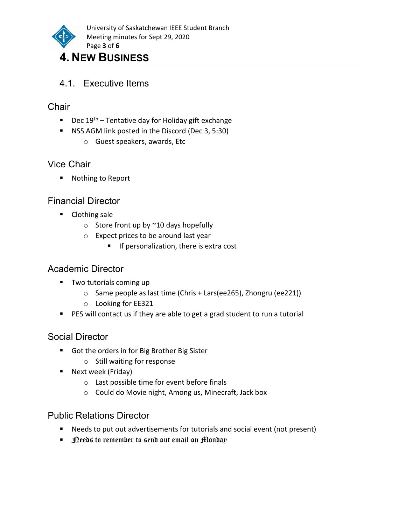

# 4. NEW BUSINESS

#### 4.1. Executive Items

#### **Chair**

- Dec  $19^{th}$  Tentative day for Holiday gift exchange
- **NSS AGM link posted in the Discord (Dec 3, 5:30)** 
	- o Guest speakers, awards, Etc

### Vice Chair

■ Nothing to Report

#### Financial Director

- **Clothing sale** 
	- $\circ$  Store front up by  $\sim$  10 days hopefully
	- o Expect prices to be around last year
		- **If personalization, there is extra cost**

### Academic Director

- **Two tutorials coming up** 
	- o Same people as last time (Chris + Lars(ee265), Zhongru (ee221))
	- o Looking for EE321
- **PES** will contact us if they are able to get a grad student to run a tutorial

#### Social Director

- Got the orders in for Big Brother Big Sister
	- o Still waiting for response
- **Next week (Friday)** 
	- o Last possible time for event before finals
	- o Could do Movie night, Among us, Minecraft, Jack box

#### Public Relations Director

- Needs to put out advertisements for tutorials and social event (not present)
- $\blacksquare$  Deeds to remember to send out email on Monday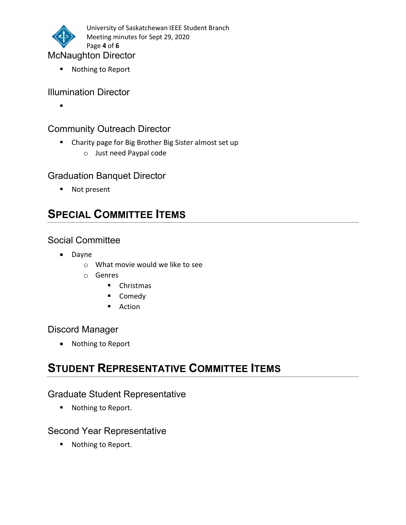

■ Nothing to Report

#### Illumination Director

 $\blacksquare$ 

#### Community Outreach Director

- Charity page for Big Brother Big Sister almost set up
	- o Just need Paypal code

#### Graduation Banquet Director

■ Not present

### SPECIAL COMMITTEE ITEMS

#### Social Committee

- Dayne
	- o What movie would we like to see
	- o Genres
		- **Christmas**
		- **Comedy**
		- **Action**

#### Discord Manager

• Nothing to Report

### STUDENT REPRESENTATIVE COMMITTEE ITEMS

#### Graduate Student Representative

■ Nothing to Report.

#### Second Year Representative

■ Nothing to Report.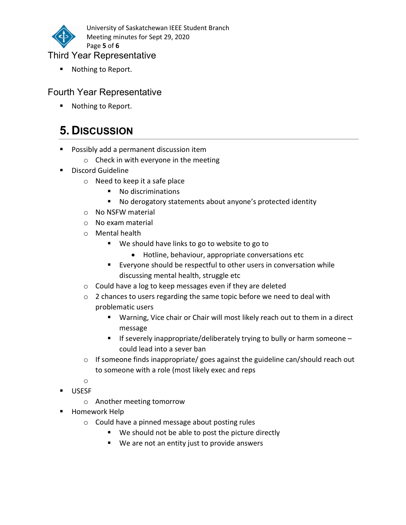

University of Saskatchewan IEEE Student Branch Meeting minutes for Sept 29, 2020 Page 5 of 6

#### Third Year Representative

■ Nothing to Report.

#### Fourth Year Representative

■ Nothing to Report.

## 5. DISCUSSION

- **Possibly add a permanent discussion item** 
	- o Check in with everyone in the meeting
- **Discord Guideline** 
	- o Need to keep it a safe place
		- No discriminations
		- No derogatory statements about anyone's protected identity
	- o No NSFW material
	- o No exam material
	- o Mental health
		- We should have links to go to website to go to
			- Hotline, behaviour, appropriate conversations etc
		- Everyone should be respectful to other users in conversation while discussing mental health, struggle etc
	- o Could have a log to keep messages even if they are deleted
	- o 2 chances to users regarding the same topic before we need to deal with problematic users
		- **Warning, Vice chair or Chair will most likely reach out to them in a direct** message
		- If severely inappropriate/deliberately trying to bully or harm someone  $$ could lead into a sever ban
	- $\circ$  If someone finds inappropriate/ goes against the guideline can/should reach out to someone with a role (most likely exec and reps
	- o
- **USESF** 
	- o Another meeting tomorrow
- **Homework Help** 
	- o Could have a pinned message about posting rules
		- We should not be able to post the picture directly
		- We are not an entity just to provide answers